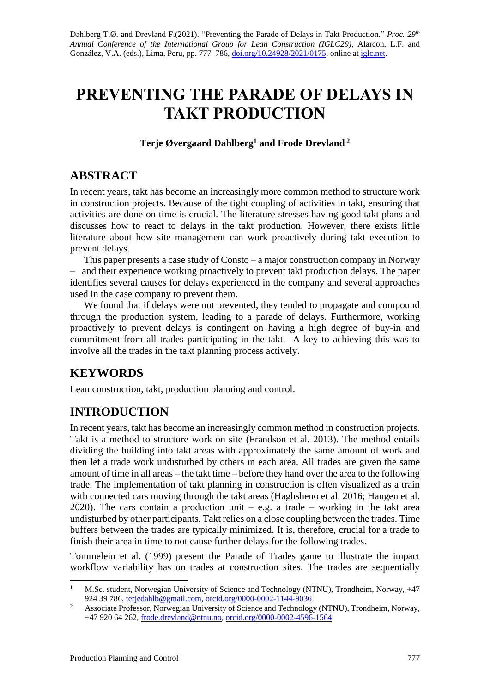# **PREVENTING THE PARADE OF DELAYS IN TAKT PRODUCTION**

### **Terje Øvergaard Dahlberg<sup>1</sup> and Frode Drevland <sup>2</sup>**

# **ABSTRACT**

In recent years, takt has become an increasingly more common method to structure work in construction projects. Because of the tight coupling of activities in takt, ensuring that activities are done on time is crucial. The literature stresses having good takt plans and discusses how to react to delays in the takt production. However, there exists little literature about how site management can work proactively during takt execution to prevent delays.

This paper presents a case study of Consto – a major construction company in Norway – and their experience working proactively to prevent takt production delays. The paper identifies several causes for delays experienced in the company and several approaches used in the case company to prevent them.

We found that if delays were not prevented, they tended to propagate and compound through the production system, leading to a parade of delays. Furthermore, working proactively to prevent delays is contingent on having a high degree of buy-in and commitment from all trades participating in the takt. A key to achieving this was to involve all the trades in the takt planning process actively.

# **KEYWORDS**

Lean construction, takt, production planning and control.

# **INTRODUCTION**

In recent years, takt has become an increasingly common method in construction projects. Takt is a method to structure work on site (Frandson et al. 2013). The method entails dividing the building into takt areas with approximately the same amount of work and then let a trade work undisturbed by others in each area. All trades are given the same amount of time in all areas – the takt time – before they hand over the area to the following trade. The implementation of takt planning in construction is often visualized as a train with connected cars moving through the takt areas (Haghsheno et al. 2016; Haugen et al. 2020). The cars contain a production unit  $-$  e.g. a trade  $-$  working in the takt area undisturbed by other participants. Takt relies on a close coupling between the trades. Time buffers between the trades are typically minimized. It is, therefore, crucial for a trade to finish their area in time to not cause further delays for the following trades.

Tommelein et al. (1999) present the Parade of Trades game to illustrate the impact workflow variability has on trades at construction sites. The trades are sequentially

<sup>1</sup> M.Sc. student, Norwegian University of Science and Technology (NTNU), Trondheim, Norway, +47 924 39 786, [terjedahlb@gmail.com,](mailto:terjedahlb@gmail.com) [orcid.org/0000-0002-1144-9036](http://orcid.org/0000-0002-1144-9036)

<sup>&</sup>lt;sup>2</sup> Associate Professor, Norwegian University of Science and Technology (NTNU), Trondheim, Norway, +47 920 64 262, [frode.drevland@ntnu.no,](mailto:frode.drevland@ntnu.no) [orcid.org/0000-0002-4596-1564](http://orcid.org/0000-0002-4596-1564)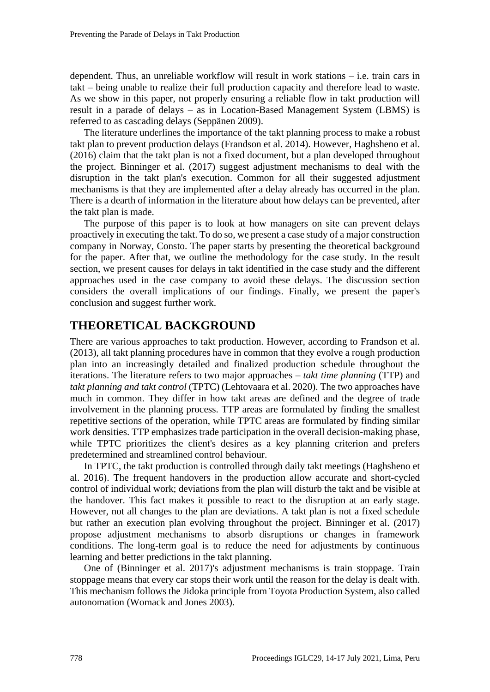dependent. Thus, an unreliable workflow will result in work stations – i.e. train cars in takt – being unable to realize their full production capacity and therefore lead to waste. As we show in this paper, not properly ensuring a reliable flow in takt production will result in a parade of delays – as in Location-Based Management System (LBMS) is referred to as cascading delays (Seppänen 2009).

The literature underlines the importance of the takt planning process to make a robust takt plan to prevent production delays (Frandson et al. 2014). However, Haghsheno et al. (2016) claim that the takt plan is not a fixed document, but a plan developed throughout the project. Binninger et al. (2017) suggest adjustment mechanisms to deal with the disruption in the takt plan's execution. Common for all their suggested adjustment mechanisms is that they are implemented after a delay already has occurred in the plan. There is a dearth of information in the literature about how delays can be prevented, after the takt plan is made.

The purpose of this paper is to look at how managers on site can prevent delays proactively in executing the takt. To do so, we present a case study of a major construction company in Norway, Consto. The paper starts by presenting the theoretical background for the paper. After that, we outline the methodology for the case study. In the result section, we present causes for delays in takt identified in the case study and the different approaches used in the case company to avoid these delays. The discussion section considers the overall implications of our findings. Finally, we present the paper's conclusion and suggest further work.

# **THEORETICAL BACKGROUND**

There are various approaches to takt production. However, according to Frandson et al. (2013), all takt planning procedures have in common that they evolve a rough production plan into an increasingly detailed and finalized production schedule throughout the iterations. The literature refers to two major approaches – *takt time planning* (TTP) and *takt planning and takt control* (TPTC) (Lehtovaara et al. 2020). The two approaches have much in common. They differ in how takt areas are defined and the degree of trade involvement in the planning process. TTP areas are formulated by finding the smallest repetitive sections of the operation, while TPTC areas are formulated by finding similar work densities. TTP emphasizes trade participation in the overall decision-making phase, while TPTC prioritizes the client's desires as a key planning criterion and prefers predetermined and streamlined control behaviour.

In TPTC, the takt production is controlled through daily takt meetings (Haghsheno et al. 2016). The frequent handovers in the production allow accurate and short-cycled control of individual work; deviations from the plan will disturb the takt and be visible at the handover. This fact makes it possible to react to the disruption at an early stage. However, not all changes to the plan are deviations. A takt plan is not a fixed schedule but rather an execution plan evolving throughout the project. Binninger et al. (2017) propose adjustment mechanisms to absorb disruptions or changes in framework conditions. The long-term goal is to reduce the need for adjustments by continuous learning and better predictions in the takt planning.

One of (Binninger et al. 2017)'s adjustment mechanisms is train stoppage. Train stoppage means that every car stops their work until the reason for the delay is dealt with. This mechanism follows the Jidoka principle from Toyota Production System, also called autonomation (Womack and Jones 2003).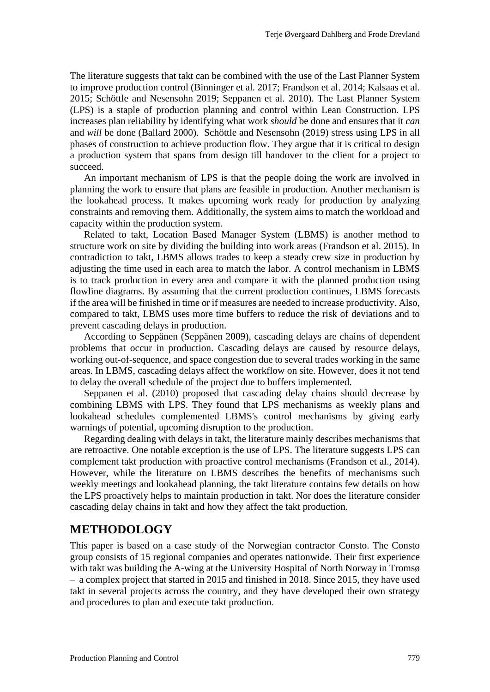The literature suggests that takt can be combined with the use of the Last Planner System to improve production control (Binninger et al. 2017; Frandson et al. 2014; Kalsaas et al. 2015; Schöttle and Nesensohn 2019; Seppanen et al. 2010). The Last Planner System (LPS) is a staple of production planning and control within Lean Construction. LPS increases plan reliability by identifying what work *should* be done and ensures that it *can*  and *will* be done (Ballard 2000). Schöttle and Nesensohn (2019) stress using LPS in all phases of construction to achieve production flow. They argue that it is critical to design a production system that spans from design till handover to the client for a project to succeed.

An important mechanism of LPS is that the people doing the work are involved in planning the work to ensure that plans are feasible in production. Another mechanism is the lookahead process. It makes upcoming work ready for production by analyzing constraints and removing them. Additionally, the system aims to match the workload and capacity within the production system.

Related to takt, Location Based Manager System (LBMS) is another method to structure work on site by dividing the building into work areas (Frandson et al. 2015). In contradiction to takt, LBMS allows trades to keep a steady crew size in production by adjusting the time used in each area to match the labor. A control mechanism in LBMS is to track production in every area and compare it with the planned production using flowline diagrams. By assuming that the current production continues, LBMS forecasts if the area will be finished in time or if measures are needed to increase productivity. Also, compared to takt, LBMS uses more time buffers to reduce the risk of deviations and to prevent cascading delays in production.

According to Seppänen (Seppänen 2009), cascading delays are chains of dependent problems that occur in production. Cascading delays are caused by resource delays, working out-of-sequence, and space congestion due to several trades working in the same areas. In LBMS, cascading delays affect the workflow on site. However, does it not tend to delay the overall schedule of the project due to buffers implemented.

Seppanen et al. (2010) proposed that cascading delay chains should decrease by combining LBMS with LPS. They found that LPS mechanisms as weekly plans and lookahead schedules complemented LBMS's control mechanisms by giving early warnings of potential, upcoming disruption to the production.

Regarding dealing with delays in takt, the literature mainly describes mechanisms that are retroactive. One notable exception is the use of LPS. The literature suggests LPS can complement takt production with proactive control mechanisms (Frandson et al., 2014). However, while the literature on LBMS describes the benefits of mechanisms such weekly meetings and lookahead planning, the takt literature contains few details on how the LPS proactively helps to maintain production in takt. Nor does the literature consider cascading delay chains in takt and how they affect the takt production.

### **METHODOLOGY**

This paper is based on a case study of the Norwegian contractor Consto. The Consto group consists of 15 regional companies and operates nationwide. Their first experience with takt was building the A-wing at the University Hospital of North Norway in Tromsø – a complex project that started in 2015 and finished in 2018. Since 2015, they have used takt in several projects across the country, and they have developed their own strategy and procedures to plan and execute takt production.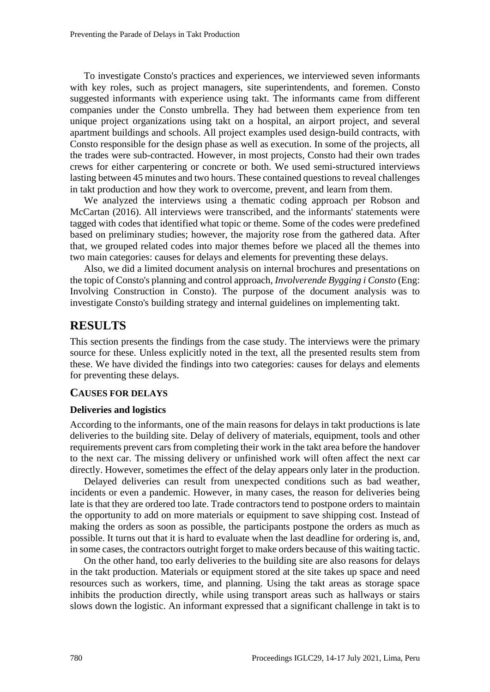To investigate Consto's practices and experiences, we interviewed seven informants with key roles, such as project managers, site superintendents, and foremen. Consto suggested informants with experience using takt. The informants came from different companies under the Consto umbrella. They had between them experience from ten unique project organizations using takt on a hospital, an airport project, and several apartment buildings and schools. All project examples used design-build contracts, with Consto responsible for the design phase as well as execution. In some of the projects, all the trades were sub-contracted. However, in most projects, Consto had their own trades crews for either carpentering or concrete or both. We used semi-structured interviews lasting between 45 minutes and two hours. These contained questions to reveal challenges in takt production and how they work to overcome, prevent, and learn from them.

We analyzed the interviews using a thematic coding approach per Robson and McCartan (2016). All interviews were transcribed, and the informants' statements were tagged with codes that identified what topic or theme. Some of the codes were predefined based on preliminary studies; however, the majority rose from the gathered data. After that, we grouped related codes into major themes before we placed all the themes into two main categories: causes for delays and elements for preventing these delays.

Also, we did a limited document analysis on internal brochures and presentations on the topic of Consto's planning and control approach, *Involverende Bygging i Consto* (Eng: Involving Construction in Consto). The purpose of the document analysis was to investigate Consto's building strategy and internal guidelines on implementing takt.

## **RESULTS**

This section presents the findings from the case study. The interviews were the primary source for these. Unless explicitly noted in the text, all the presented results stem from these. We have divided the findings into two categories: causes for delays and elements for preventing these delays.

#### **CAUSES FOR DELAYS**

#### **Deliveries and logistics**

According to the informants, one of the main reasons for delays in takt productions is late deliveries to the building site. Delay of delivery of materials, equipment, tools and other requirements prevent cars from completing their work in the takt area before the handover to the next car. The missing delivery or unfinished work will often affect the next car directly. However, sometimes the effect of the delay appears only later in the production.

Delayed deliveries can result from unexpected conditions such as bad weather, incidents or even a pandemic. However, in many cases, the reason for deliveries being late is that they are ordered too late. Trade contractors tend to postpone orders to maintain the opportunity to add on more materials or equipment to save shipping cost. Instead of making the orders as soon as possible, the participants postpone the orders as much as possible. It turns out that it is hard to evaluate when the last deadline for ordering is, and, in some cases, the contractors outright forget to make orders because of this waiting tactic.

On the other hand, too early deliveries to the building site are also reasons for delays in the takt production. Materials or equipment stored at the site takes up space and need resources such as workers, time, and planning. Using the takt areas as storage space inhibits the production directly, while using transport areas such as hallways or stairs slows down the logistic. An informant expressed that a significant challenge in takt is to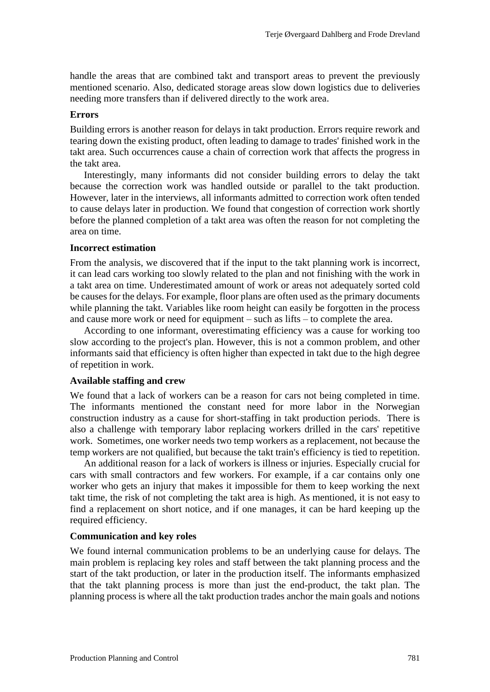handle the areas that are combined takt and transport areas to prevent the previously mentioned scenario. Also, dedicated storage areas slow down logistics due to deliveries needing more transfers than if delivered directly to the work area.

#### **Errors**

Building errors is another reason for delays in takt production. Errors require rework and tearing down the existing product, often leading to damage to trades' finished work in the takt area. Such occurrences cause a chain of correction work that affects the progress in the takt area.

Interestingly, many informants did not consider building errors to delay the takt because the correction work was handled outside or parallel to the takt production. However, later in the interviews, all informants admitted to correction work often tended to cause delays later in production. We found that congestion of correction work shortly before the planned completion of a takt area was often the reason for not completing the area on time.

#### **Incorrect estimation**

From the analysis, we discovered that if the input to the takt planning work is incorrect, it can lead cars working too slowly related to the plan and not finishing with the work in a takt area on time. Underestimated amount of work or areas not adequately sorted cold be causes for the delays. For example, floor plans are often used as the primary documents while planning the takt. Variables like room height can easily be forgotten in the process and cause more work or need for equipment – such as lifts – to complete the area.

According to one informant, overestimating efficiency was a cause for working too slow according to the project's plan. However, this is not a common problem, and other informants said that efficiency is often higher than expected in takt due to the high degree of repetition in work.

#### **Available staffing and crew**

We found that a lack of workers can be a reason for cars not being completed in time. The informants mentioned the constant need for more labor in the Norwegian construction industry as a cause for short-staffing in takt production periods. There is also a challenge with temporary labor replacing workers drilled in the cars' repetitive work. Sometimes, one worker needs two temp workers as a replacement, not because the temp workers are not qualified, but because the takt train's efficiency is tied to repetition.

An additional reason for a lack of workers is illness or injuries. Especially crucial for cars with small contractors and few workers. For example, if a car contains only one worker who gets an injury that makes it impossible for them to keep working the next takt time, the risk of not completing the takt area is high. As mentioned, it is not easy to find a replacement on short notice, and if one manages, it can be hard keeping up the required efficiency.

#### **Communication and key roles**

We found internal communication problems to be an underlying cause for delays. The main problem is replacing key roles and staff between the takt planning process and the start of the takt production, or later in the production itself. The informants emphasized that the takt planning process is more than just the end-product, the takt plan. The planning process is where all the takt production trades anchor the main goals and notions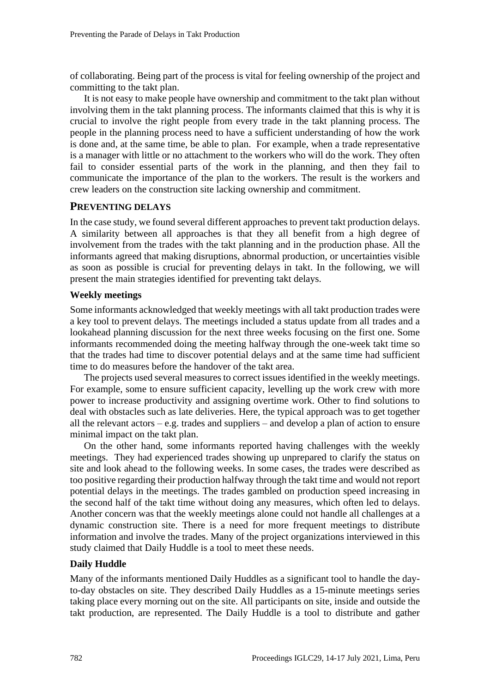of collaborating. Being part of the process is vital for feeling ownership of the project and committing to the takt plan.

It is not easy to make people have ownership and commitment to the takt plan without involving them in the takt planning process. The informants claimed that this is why it is crucial to involve the right people from every trade in the takt planning process. The people in the planning process need to have a sufficient understanding of how the work is done and, at the same time, be able to plan. For example, when a trade representative is a manager with little or no attachment to the workers who will do the work. They often fail to consider essential parts of the work in the planning, and then they fail to communicate the importance of the plan to the workers. The result is the workers and crew leaders on the construction site lacking ownership and commitment.

#### **PREVENTING DELAYS**

In the case study, we found several different approaches to prevent takt production delays. A similarity between all approaches is that they all benefit from a high degree of involvement from the trades with the takt planning and in the production phase. All the informants agreed that making disruptions, abnormal production, or uncertainties visible as soon as possible is crucial for preventing delays in takt. In the following, we will present the main strategies identified for preventing takt delays.

#### **Weekly meetings**

Some informants acknowledged that weekly meetings with all takt production trades were a key tool to prevent delays. The meetings included a status update from all trades and a lookahead planning discussion for the next three weeks focusing on the first one. Some informants recommended doing the meeting halfway through the one-week takt time so that the trades had time to discover potential delays and at the same time had sufficient time to do measures before the handover of the takt area.

The projects used several measures to correct issues identified in the weekly meetings. For example, some to ensure sufficient capacity, levelling up the work crew with more power to increase productivity and assigning overtime work. Other to find solutions to deal with obstacles such as late deliveries. Here, the typical approach was to get together all the relevant actors – e.g. trades and suppliers – and develop a plan of action to ensure minimal impact on the takt plan.

On the other hand, some informants reported having challenges with the weekly meetings. They had experienced trades showing up unprepared to clarify the status on site and look ahead to the following weeks. In some cases, the trades were described as too positive regarding their production halfway through the takt time and would not report potential delays in the meetings. The trades gambled on production speed increasing in the second half of the takt time without doing any measures, which often led to delays. Another concern was that the weekly meetings alone could not handle all challenges at a dynamic construction site. There is a need for more frequent meetings to distribute information and involve the trades. Many of the project organizations interviewed in this study claimed that Daily Huddle is a tool to meet these needs.

#### **Daily Huddle**

Many of the informants mentioned Daily Huddles as a significant tool to handle the dayto-day obstacles on site. They described Daily Huddles as a 15-minute meetings series taking place every morning out on the site. All participants on site, inside and outside the takt production, are represented. The Daily Huddle is a tool to distribute and gather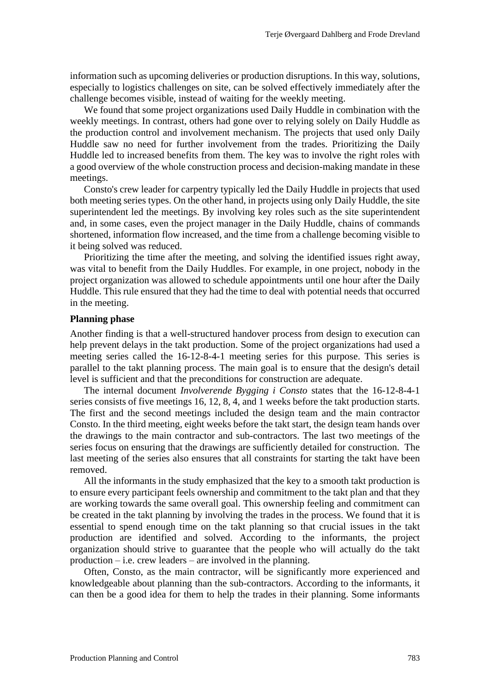information such as upcoming deliveries or production disruptions. In this way, solutions, especially to logistics challenges on site, can be solved effectively immediately after the challenge becomes visible, instead of waiting for the weekly meeting.

We found that some project organizations used Daily Huddle in combination with the weekly meetings. In contrast, others had gone over to relying solely on Daily Huddle as the production control and involvement mechanism. The projects that used only Daily Huddle saw no need for further involvement from the trades. Prioritizing the Daily Huddle led to increased benefits from them. The key was to involve the right roles with a good overview of the whole construction process and decision-making mandate in these meetings.

Consto's crew leader for carpentry typically led the Daily Huddle in projects that used both meeting series types. On the other hand, in projects using only Daily Huddle, the site superintendent led the meetings. By involving key roles such as the site superintendent and, in some cases, even the project manager in the Daily Huddle, chains of commands shortened, information flow increased, and the time from a challenge becoming visible to it being solved was reduced.

Prioritizing the time after the meeting, and solving the identified issues right away, was vital to benefit from the Daily Huddles. For example, in one project, nobody in the project organization was allowed to schedule appointments until one hour after the Daily Huddle. This rule ensured that they had the time to deal with potential needs that occurred in the meeting.

#### **Planning phase**

Another finding is that a well-structured handover process from design to execution can help prevent delays in the takt production. Some of the project organizations had used a meeting series called the 16-12-8-4-1 meeting series for this purpose. This series is parallel to the takt planning process. The main goal is to ensure that the design's detail level is sufficient and that the preconditions for construction are adequate.

The internal document *Involverende Bygging i Consto* states that the 16-12-8-4-1 series consists of five meetings 16, 12, 8, 4, and 1 weeks before the takt production starts. The first and the second meetings included the design team and the main contractor Consto. In the third meeting, eight weeks before the takt start, the design team hands over the drawings to the main contractor and sub-contractors. The last two meetings of the series focus on ensuring that the drawings are sufficiently detailed for construction. The last meeting of the series also ensures that all constraints for starting the takt have been removed.

All the informants in the study emphasized that the key to a smooth takt production is to ensure every participant feels ownership and commitment to the takt plan and that they are working towards the same overall goal. This ownership feeling and commitment can be created in the takt planning by involving the trades in the process. We found that it is essential to spend enough time on the takt planning so that crucial issues in the takt production are identified and solved. According to the informants, the project organization should strive to guarantee that the people who will actually do the takt  $production - i.e.$  crew leaders – are involved in the planning.

Often, Consto, as the main contractor, will be significantly more experienced and knowledgeable about planning than the sub-contractors. According to the informants, it can then be a good idea for them to help the trades in their planning. Some informants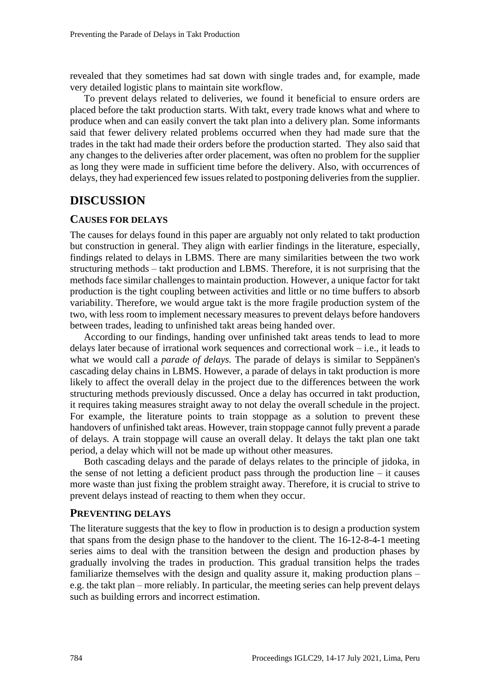revealed that they sometimes had sat down with single trades and, for example, made very detailed logistic plans to maintain site workflow.

To prevent delays related to deliveries, we found it beneficial to ensure orders are placed before the takt production starts. With takt, every trade knows what and where to produce when and can easily convert the takt plan into a delivery plan. Some informants said that fewer delivery related problems occurred when they had made sure that the trades in the takt had made their orders before the production started. They also said that any changes to the deliveries after order placement, was often no problem for the supplier as long they were made in sufficient time before the delivery. Also, with occurrences of delays, they had experienced few issues related to postponing deliveries from the supplier.

### **DISCUSSION**

#### **CAUSES FOR DELAYS**

The causes for delays found in this paper are arguably not only related to takt production but construction in general. They align with earlier findings in the literature, especially, findings related to delays in LBMS. There are many similarities between the two work structuring methods – takt production and LBMS. Therefore, it is not surprising that the methods face similar challenges to maintain production. However, a unique factor for takt production is the tight coupling between activities and little or no time buffers to absorb variability. Therefore, we would argue takt is the more fragile production system of the two, with less room to implement necessary measures to prevent delays before handovers between trades, leading to unfinished takt areas being handed over.

According to our findings, handing over unfinished takt areas tends to lead to more delays later because of irrational work sequences and correctional work – i.e., it leads to what we would call a *parade of delays.* The parade of delays is similar to Seppänen's cascading delay chains in LBMS. However, a parade of delays in takt production is more likely to affect the overall delay in the project due to the differences between the work structuring methods previously discussed. Once a delay has occurred in takt production, it requires taking measures straight away to not delay the overall schedule in the project. For example, the literature points to train stoppage as a solution to prevent these handovers of unfinished takt areas. However, train stoppage cannot fully prevent a parade of delays. A train stoppage will cause an overall delay. It delays the takt plan one takt period, a delay which will not be made up without other measures.

Both cascading delays and the parade of delays relates to the principle of jidoka, in the sense of not letting a deficient product pass through the production line  $-$  it causes more waste than just fixing the problem straight away. Therefore, it is crucial to strive to prevent delays instead of reacting to them when they occur.

#### **PREVENTING DELAYS**

The literature suggests that the key to flow in production is to design a production system that spans from the design phase to the handover to the client. The 16-12-8-4-1 meeting series aims to deal with the transition between the design and production phases by gradually involving the trades in production. This gradual transition helps the trades familiarize themselves with the design and quality assure it, making production plans – e.g. the takt plan – more reliably. In particular, the meeting series can help prevent delays such as building errors and incorrect estimation.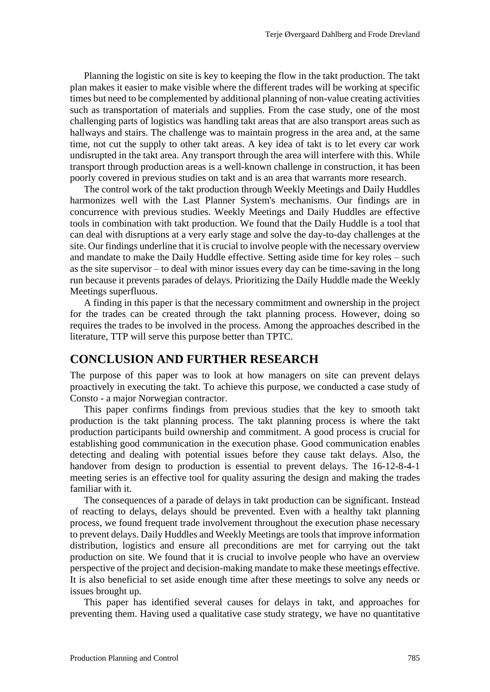Planning the logistic on site is key to keeping the flow in the takt production. The takt plan makes it easier to make visible where the different trades will be working at specific times but need to be complemented by additional planning of non-value creating activities such as transportation of materials and supplies. From the case study, one of the most challenging parts of logistics was handling takt areas that are also transport areas such as hallways and stairs. The challenge was to maintain progress in the area and, at the same time, not cut the supply to other takt areas. A key idea of takt is to let every car work undisrupted in the takt area. Any transport through the area will interfere with this. While transport through production areas is a well-known challenge in construction, it has been poorly covered in previous studies on takt and is an area that warrants more research.

The control work of the takt production through Weekly Meetings and Daily Huddles harmonizes well with the Last Planner System's mechanisms. Our findings are in concurrence with previous studies. Weekly Meetings and Daily Huddles are effective tools in combination with takt production. We found that the Daily Huddle is a tool that can deal with disruptions at a very early stage and solve the day-to-day challenges at the site. Our findings underline that it is crucial to involve people with the necessary overview and mandate to make the Daily Huddle effective. Setting aside time for key roles – such as the site supervisor – to deal with minor issues every day can be time-saving in the long run because it prevents parades of delays. Prioritizing the Daily Huddle made the Weekly Meetings superfluous.

A finding in this paper is that the necessary commitment and ownership in the project for the trades can be created through the takt planning process. However, doing so requires the trades to be involved in the process. Among the approaches described in the literature, TTP will serve this purpose better than TPTC.

#### **CONCLUSION AND FURTHER RESEARCH**

The purpose of this paper was to look at how managers on site can prevent delays proactively in executing the takt. To achieve this purpose, we conducted a case study of Consto - a major Norwegian contractor.

This paper confirms findings from previous studies that the key to smooth takt production is the takt planning process. The takt planning process is where the takt production participants build ownership and commitment. A good process is crucial for establishing good communication in the execution phase. Good communication enables detecting and dealing with potential issues before they cause takt delays. Also, the handover from design to production is essential to prevent delays. The 16-12-8-4-1 meeting series is an effective tool for quality assuring the design and making the trades familiar with it.

The consequences of a parade of delays in takt production can be significant. Instead of reacting to delays, delays should be prevented. Even with a healthy takt planning process, we found frequent trade involvement throughout the execution phase necessary to prevent delays. Daily Huddles and Weekly Meetings are tools that improve information distribution, logistics and ensure all preconditions are met for carrying out the takt production on site. We found that it is crucial to involve people who have an overview perspective of the project and decision-making mandate to make these meetings effective. It is also beneficial to set aside enough time after these meetings to solve any needs or issues brought up.

This paper has identified several causes for delays in takt, and approaches for preventing them. Having used a qualitative case study strategy, we have no quantitative